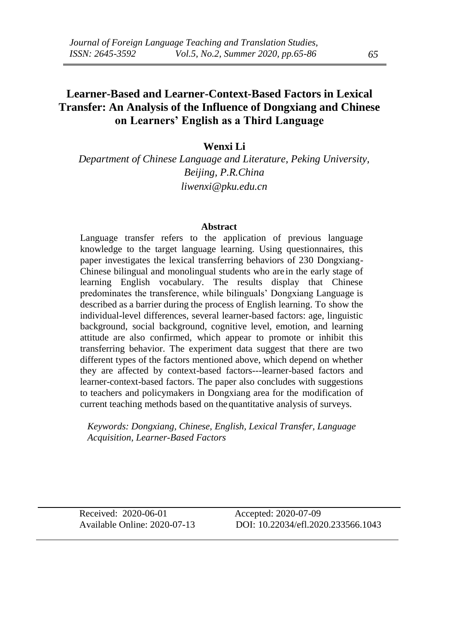# **Learner-Based and Learner-Context-Based Factors in Lexical Transfer: An Analysis of the Influence of Dongxiang and Chinese on Learners' English as a Third Language**

### **Wenxi Li**

*Department of Chinese Language and Literature, Peking University, Beijing, P.R.China liwenxi@pku.edu.cn*

#### **Abstract**

Language transfer refers to the application of previous language knowledge to the target language learning. Using questionnaires, this paper investigates the lexical transferring behaviors of 230 Dongxiang-Chinese bilingual and monolingual students who are in the early stage of learning English vocabulary. The results display that Chinese predominates the transference, while bilinguals' Dongxiang Language is described as a barrier during the process of English learning. To show the individual-level differences, several learner-based factors: age, linguistic background, social background, cognitive level, emotion, and learning attitude are also confirmed, which appear to promote or inhibit this transferring behavior. The experiment data suggest that there are two different types of the factors mentioned above, which depend on whether they are affected by context-based factors---learner-based factors and learner-context-based factors. The paper also concludes with suggestions to teachers and policymakers in Dongxiang area for the modification of current teaching methods based on the quantitative analysis of surveys.

*Keywords: Dongxiang, Chinese, English, Lexical Transfer, Language Acquisition, Learner-Based Factors*

Received: 2020-06-01 Accepted: 2020-07-09

Available Online: 2020-07-13 DOI: 10.22034/efl.2020.233566.1043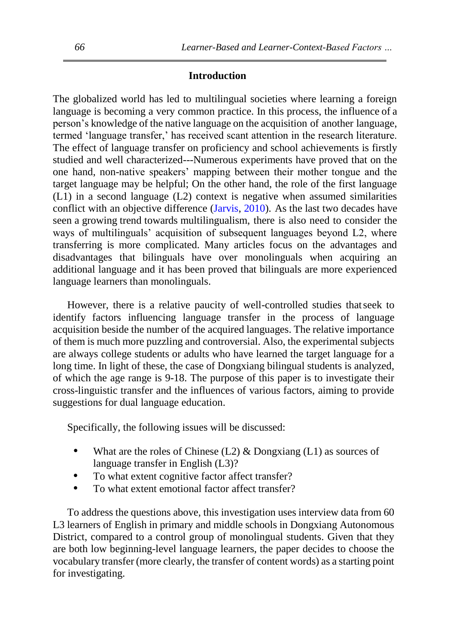### **Introduction**

The globalized world has led to multilingual societies where learning a foreign language is becoming a very common practice. In this process, the influence of a person's knowledge of the native language on the acquisition of another language, termed 'language transfer,' has received scant attention in the research literature. The effect of language transfer on proficiency and school achievements is firstly studied and well characterized---Numerous experiments have proved that on the one hand, non-native speakers' mapping between their mother tongue and the target language may be helpful; On the other hand, the role of the first language (L1) in a second language (L2) context is negative when assumed similarities conflict with an objective difference [\(Jarvis,](#page-18-0) [2010\)](#page-18-0). As the last two decades have seen a growing trend towards multilingualism, there is also need to consider the ways of multilinguals' acquisition of subsequent languages beyond L2, where transferring is more complicated. Many articles focus on the advantages and disadvantages that bilinguals have over monolinguals when acquiring an additional language and it has been proved that bilinguals are more experienced language learners than monolinguals.

However, there is a relative paucity of well-controlled studies thatseek to identify factors influencing language transfer in the process of language acquisition beside the number of the acquired languages. The relative importance of them is much more puzzling and controversial. Also, the experimental subjects are always college students or adults who have learned the target language for a long time. In light of these, the case of Dongxiang bilingual students is analyzed, of which the age range is 9-18. The purpose of this paper is to investigate their cross-linguistic transfer and the influences of various factors, aiming to provide suggestions for dual language education.

Specifically, the following issues will be discussed:

- What are the roles of Chinese (L2)  $&$  Dongxiang (L1) as sources of language transfer in English (L3)?
- To what extent cognitive factor affect transfer?
- To what extent emotional factor affect transfer?

To address the questions above, this investigation uses interview data from 60 L3 learners of English in primary and middle schools in Dongxiang Autonomous District, compared to a control group of monolingual students. Given that they are both low beginning-level language learners, the paper decides to choose the vocabulary transfer (more clearly, the transfer of content words) as a starting point for investigating.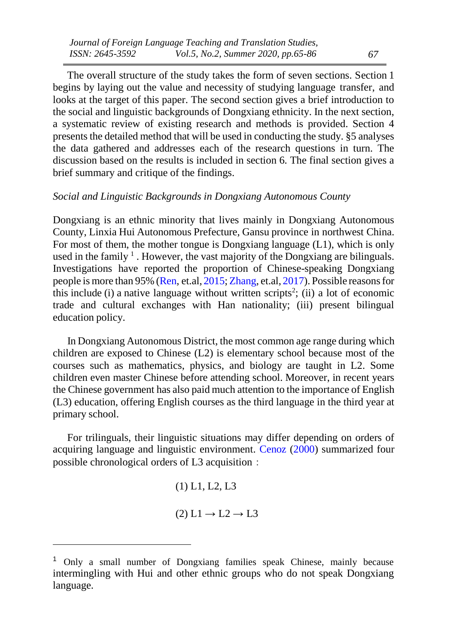The overall structure of the study takes the form of seven sections. Section 1 begins by laying out the value and necessity of studying language transfer, and looks at the target of this paper. The second section gives a brief introduction to the social and linguistic backgrounds of Dongxiang ethnicity. In the next section, a systematic review of existing research and methods is provided. Section 4 presents the detailed method that will be used in conducting the study. §5 analyses the data gathered and addresses each of the research questions in turn. The discussion based on the results is included in section 6. The final section gives a brief summary and critique of the findings.

### *Social and Linguistic Backgrounds in Dongxiang Autonomous County*

Dongxiang is an ethnic minority that lives mainly in Dongxiang Autonomous County, Linxia Hui Autonomous Prefecture, Gansu province in northwest China. For most of them, the mother tongue is Dongxiang language (L1), which is only used in the family  $<sup>1</sup>$ . However, the vast majority of the Dongxiang are bilinguals.</sup> Investigations have reported the proportion of Chinese-speaking Dongxiang people is more than 95% [\(Ren,](#page-18-1) et.al, [2015;](#page-18-1) [Zhang,](#page-18-2) et.al, [2017\)](#page-18-2). Possible reasonsfor this include  $(i)$  a native language without written scripts<sup>2</sup>; (ii) a lot of economic trade and cultural exchanges with Han nationality; (iii) present bilingual education policy.

In Dongxiang Autonomous District, the most common age range during which children are exposed to Chinese (L2) is elementary school because most of the courses such as mathematics, physics, and biology are taught in L2. Some children even master Chinese before attending school. Moreover, in recent years the Chinese government has also paid much attention to the importance of English (L3) education, offering English courses as the third language in the third year at primary school.

For trilinguals, their linguistic situations may differ depending on orders of acquiring language and linguistic environment. [Cenoz](#page-17-0) [\(2000\)](#page-17-0) summarized four possible chronological orders of L3 acquisition:

> (1) L1, L2, L3  $(2) L1 \rightarrow L2 \rightarrow L3$

<sup>1</sup> Only a small number of Dongxiang families speak Chinese, mainly because intermingling with Hui and other ethnic groups who do not speak Dongxiang language.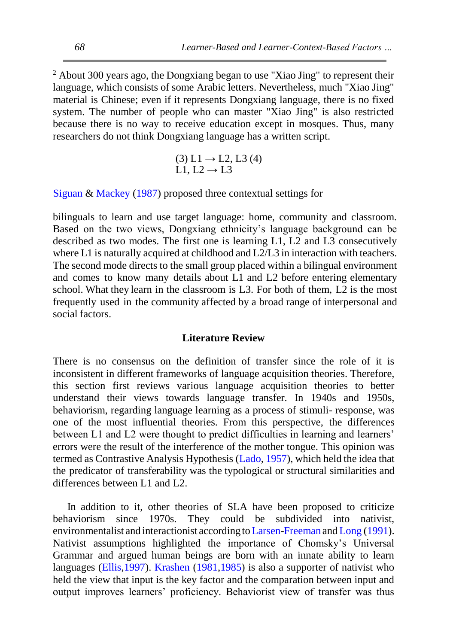$2$  About 300 years ago, the Dongxiang began to use "Xiao Jing" to represent their language, which consists of some Arabic letters. Nevertheless, much "Xiao Jing" material is Chinese; even if it represents Dongxiang language, there is no fixed system. The number of people who can master "Xiao Jing" is also restricted because there is no way to receive education except in mosques. Thus, many researchers do not think Dongxiang language has a written script.

> $(3) L1 \rightarrow L2, L3(4)$ L1, L2  $\rightarrow$  L3

[Siguan](#page-19-0) & [Mackey](#page-19-0) [\(1987\)](#page-19-0) proposed three contextual settings for

bilinguals to learn and use target language: home, community and classroom. Based on the two views, Dongxiang ethnicity's language background can be described as two modes. The first one is learning  $L1$ ,  $L2$  and  $L3$  consecutively where L1 is naturally acquired at childhood and L2/L3 in interaction with teachers. The second mode directs to the small group placed within a bilingual environment and comes to know many details about L1 and L2 before entering elementary school. What they learn in the classroom is L3. For both of them, L2 is the most frequently used in the community affected by a broad range of interpersonal and social factors.

#### **Literature Review**

There is no consensus on the definition of transfer since the role of it is inconsistent in different frameworks of language acquisition theories. Therefore, this section first reviews various language acquisition theories to better understand their views towards language transfer. In 1940s and 1950s, behaviorism, regarding language learning as a process of stimuli- response, was one of the most influential theories. From this perspective, the differences between L1 and L2 were thought to predict difficulties in learning and learners' errors were the result of the interference of the mother tongue. This opinion was termed as Contrastive Analysis Hypothesis [\(Lado, 1957\)](#page-18-3), which held the idea that the predicator of transferability was the typological or structural similarities and differences between L1 and L2.

In addition to it, other theories of SLA have been proposed to criticize behaviorism since 1970s. They could be subdivided into nativist, environmentalist and interactionist according to Larsen-Freeman and [Long](#page-18-4) [\(1991\)](#page-18-4). Nativist assumptions highlighted the importance of Chomsky's Universal Grammar and argued human beings are born with an innate ability to learn languages [\(Ellis,1997\)](#page-17-1). [Krashen](#page-18-5) [\(1981,](#page-18-5)[1985\)](#page-18-6) is also a supporter of nativist who held the view that input is the key factor and the comparation between input and output improves learners' proficiency. Behaviorist view of transfer was thus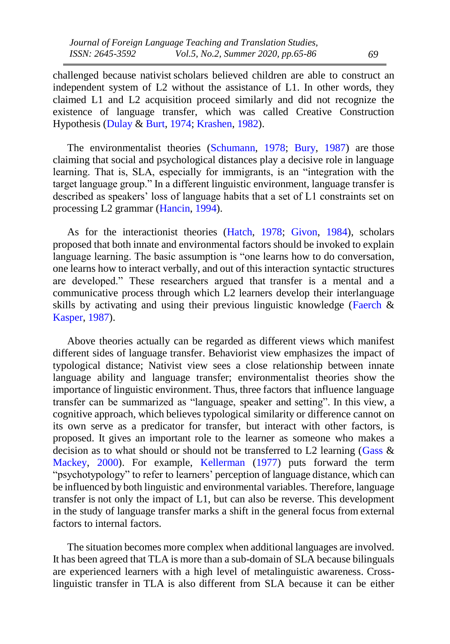challenged because nativist scholars believed children are able to construct an independent system of L2 without the assistance of L1. In other words, they claimed L1 and L2 acquisition proceed similarly and did not recognize the existence of language transfer, which was called Creative Construction Hypothesis [\(Dulay](#page-17-2) & [Burt, 1974;](#page-17-2) [Krashen,](#page-18-7) [1982\)](#page-18-7).

The environmentalist theories [\(Schumann,](#page-19-1) [1978;](#page-19-1) [Bury,](#page-17-3) [1987\)](#page-17-3) are those claiming that social and psychological distances play a decisive role in language learning. That is, SLA, especially for immigrants, is an "integration with the target language group." In a different linguistic environment, language transfer is described as speakers' loss of language habits that a set of L1 constraints set on processing L2 grammar [\(Hancin, 1994\)](#page-18-8).

As for the interactionist theories [\(Hatch,](#page-18-9) [1978;](#page-18-9) [Givon,](#page-18-10) [1984\)](#page-18-10), scholars proposed that both innate and environmental factors should be invoked to explain language learning. The basic assumption is "one learns how to do conversation, one learns how to interact verbally, and out of this interaction syntactic structures are developed." These researchers argued that transfer is a mental and a communicative process through which L2 learners develop their interlanguage skills by activating and using their previous linguistic knowledge [\(Faerch](#page-17-4) & [Kasper,](#page-17-4) [1987\)](#page-17-4).

Above theories actually can be regarded as different views which manifest different sides of language transfer. Behaviorist view emphasizes the impact of typological distance; Nativist view sees a close relationship between innate language ability and language transfer; environmentalist theories show the importance of linguistic environment. Thus, three factors that influence language transfer can be summarized as "language, speaker and setting". In this view, a cognitive approach, which believes typological similarity or difference cannot on its own serve as a predicator for transfer, but interact with other factors, is proposed. It gives an important role to the learner as someone who makes a decision as to what should or should not be transferred to L2 learning [\(Gass](#page-17-5)  $\&$ [Mackey,](#page-17-5) [2000\)](#page-17-5). For example, [Kellerman](#page-18-11) [\(1977\)](#page-18-11) puts forward the term "psychotypology" to refer to learners' perception of language distance, which can be influenced by both linguistic and environmental variables. Therefore, language transfer is not only the impact of L1, but can also be reverse. This development in the study of language transfer marks a shift in the general focus from external factors to internal factors.

The situation becomes more complex when additional languages are involved. It has been agreed that TLA is more than a sub-domain of SLA because bilinguals are experienced learners with a high level of metalinguistic awareness. Crosslinguistic transfer in TLA is also different from SLA because it can be either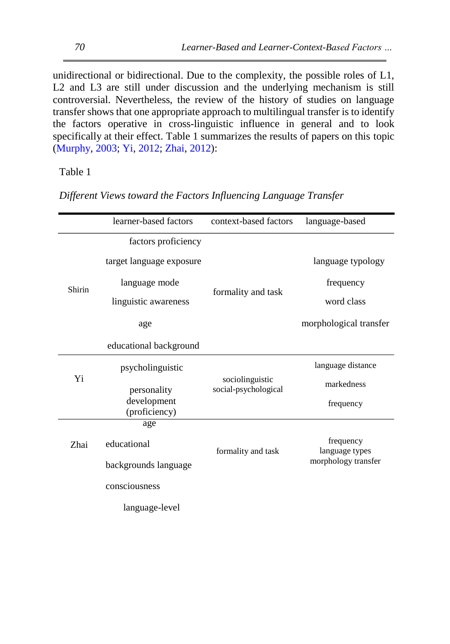unidirectional or bidirectional. Due to the complexity, the possible roles of L1, L2 and L3 are still under discussion and the underlying mechanism is still controversial. Nevertheless, the review of the history of studies on language transfer shows that one appropriate approach to multilingual transfer is to identify the factors operative in cross-linguistic influence in general and to look specifically at their effect. Table 1 summarizes the results of papers on this topic [\(Murphy, 2003;](#page-19-2) [Yi, 2012;](#page-19-3) [Zhai,](#page-19-4) [2012\)](#page-19-4):

Table 1

*Different Views toward the Factors Influencing Language Transfer*

|        | learner-based factors        | context-based factors                   | language-based              |
|--------|------------------------------|-----------------------------------------|-----------------------------|
|        | factors proficiency          |                                         |                             |
|        | target language exposure     |                                         | language typology           |
| Shirin | language mode                |                                         | frequency                   |
|        | linguistic awareness         | formality and task                      | word class                  |
|        | age                          |                                         | morphological transfer      |
|        | educational background       |                                         |                             |
|        | psycholinguistic             |                                         | language distance           |
| Yi     | personality                  | sociolinguistic<br>social-psychological | markedness                  |
|        | development<br>(proficiency) |                                         | frequency                   |
|        | age                          |                                         |                             |
| Zhai   | educational                  | formality and task                      | frequency<br>language types |
|        | backgrounds language         |                                         | morphology transfer         |
|        | consciousness                |                                         |                             |
|        | language-level               |                                         |                             |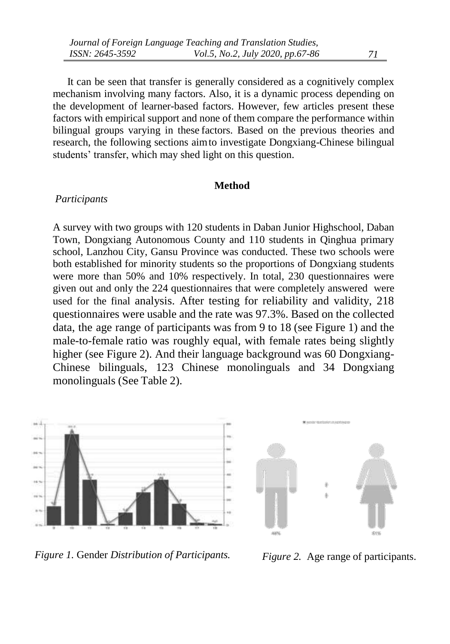It can be seen that transfer is generally considered as a cognitively complex mechanism involving many factors. Also, it is a dynamic process depending on the development of learner-based factors. However, few articles present these factors with empirical support and none of them compare the performance within bilingual groups varying in these factors. Based on the previous theories and research, the following sections aimto investigate Dongxiang-Chinese bilingual students' transfer, which may shed light on this question.

#### **Method**

#### *Participants*

A survey with two groups with 120 students in Daban Junior Highschool, Daban Town, Dongxiang Autonomous County and 110 students in Qinghua primary school, Lanzhou City, Gansu Province was conducted. These two schools were both established for minority students so the proportions of Dongxiang students were more than 50% and 10% respectively. In total, 230 questionnaires were given out and only the 224 questionnaires that were completely answered were used for the final analysis. After testing for reliability and validity, 218 questionnaires were usable and the rate was 97.3%. Based on the collected data, the age range of participants was from 9 to 18 (see Figure 1) and the male-to-female ratio was roughly equal, with female rates being slightly higher (see Figure 2). And their language background was 60 Dongxiang-Chinese bilinguals, 123 Chinese monolinguals and 34 Dongxiang monolinguals (See Table 2).



 *Figure 1.* Gender *Distribution of Participants. Figure 2.* Age range of participants.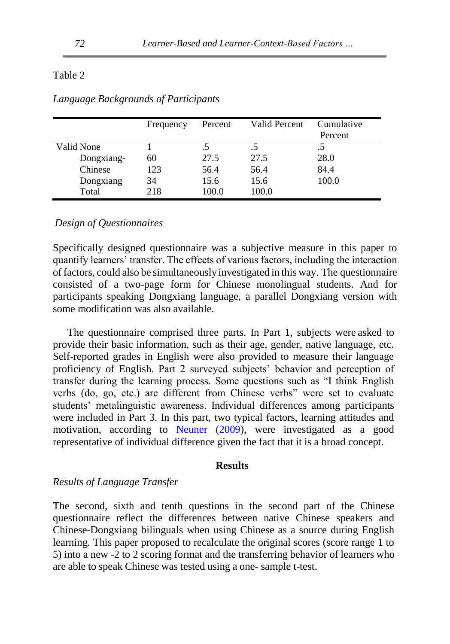#### Table 2

|            | Frequency | Percent | Valid Percent | Cumulative |
|------------|-----------|---------|---------------|------------|
|            |           |         |               | Percent    |
| Valid None |           |         |               |            |
| Dongxiang- | 60        | 27.5    | 27.5          | 28.0       |
| Chinese    | 123       | 56.4    | 56.4          | 84.4       |
| Dongxiang  | 34        | 15.6    | 15.6          | 100.0      |
| Total      | 218       | 100.0   | 100.0         |            |

*Language Backgrounds of Participants*

#### *Design of Questionnaires*

Specifically designed questionnaire was a subjective measure in this paper to quantify learners' transfer. The effects of various factors, including the interaction of factors, could also be simultaneously investigated in this way. The questionnaire consisted of a two-page form for Chinese monolingual students. And for participants speaking Dongxiang language, a parallel Dongxiang version with some modification was also available.

The questionnaire comprised three parts. In Part 1, subjects were asked to provide their basic information, such as their age, gender, native language, etc. Self-reported grades in English were also provided to measure their language proficiency of English. Part 2 surveyed subjects' behavior and perception of transfer during the learning process. Some questions such as "I think English verbs (do, go, etc.) are different from Chinese verbs" were set to evaluate students' metalinguistic awareness. Individual differences among participants were included in Part 3. In this part, two typical factors, learning attitudes and motivation, according to [Neuner](#page-19-5) [\(2009\)](#page-19-5), were investigated as a good representative of individual difference given the fact that it is a broad concept.

### **Results**

#### *Results of Language Transfer*

The second, sixth and tenth questions in the second part of the Chinese questionnaire reflect the differences between native Chinese speakers and Chinese-Dongxiang bilinguals when using Chinese as a source during English learning. This paper proposed to recalculate the original scores (score range 1 to 5) into a new -2 to 2 scoring format and the transferring behavior of learners who are able to speak Chinese was tested using a one- sample t-test.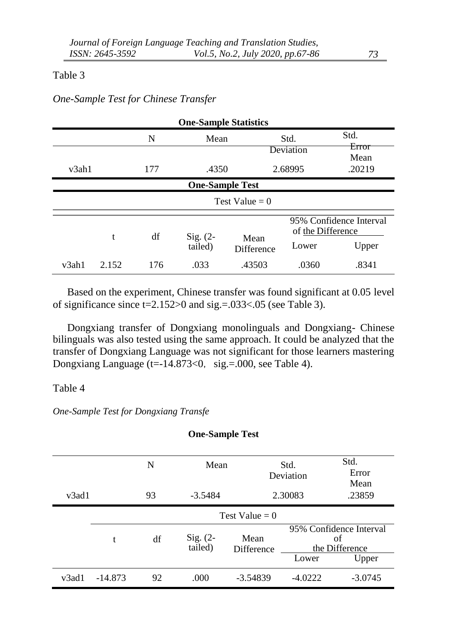#### Table 3

# *One-Sample Test for Chinese Transfer*

| <b>One-Sample Statistics</b> |       |     |                       |                           |                            |                                  |  |
|------------------------------|-------|-----|-----------------------|---------------------------|----------------------------|----------------------------------|--|
|                              |       | N   | Mean                  |                           | Std.<br>Deviation          | Std.<br>Error<br>Mean            |  |
| v3ah1                        |       | 177 | .4350                 |                           | 2.68995                    | .20219                           |  |
| <b>One-Sample Test</b>       |       |     |                       |                           |                            |                                  |  |
|                              |       |     |                       | Test Value = $0$          |                            |                                  |  |
|                              | t     | df  | Sig. $(2-$<br>tailed) | Mean<br><b>Difference</b> | of the Difference<br>Lower | 95% Confidence Interval<br>Upper |  |
| v3ah1                        | 2.152 | 176 | .033                  | .43503                    | .0360                      | .8341                            |  |

Based on the experiment, Chinese transfer was found significant at 0.05 level of significance since  $t=2.152>0$  and sig. = 033 < 05 (see Table 3).

Dongxiang transfer of Dongxiang monolinguals and Dongxiang- Chinese bilinguals was also tested using the same approach. It could be analyzed that the transfer of Dongxiang Language was not significant for those learners mastering Dongxiang Language (t= $-14.873<0$ , sig.=.000, see Table 4).

### Table 4

### *One-Sample Test for Dongxiang Transfe*

| <b>One-Sample Test</b> |           |    |                       |                    |                   |                                                 |  |  |  |
|------------------------|-----------|----|-----------------------|--------------------|-------------------|-------------------------------------------------|--|--|--|
|                        |           | N  | Mean                  |                    | Std.<br>Deviation | Std.<br>Error<br>Mean                           |  |  |  |
| v <sub>3</sub> ad1     |           | 93 | $-3.5484$             |                    | 2.30083           | .23859                                          |  |  |  |
|                        |           |    |                       | Test Value = $0$   |                   |                                                 |  |  |  |
|                        | t         | df | $Sig. (2-$<br>tailed) | Mean<br>Difference |                   | 95% Confidence Interval<br>of<br>the Difference |  |  |  |
|                        |           |    |                       |                    | Lower             | Upper                                           |  |  |  |
| v <sub>3</sub> ad1     | $-14.873$ | 92 | .000                  | $-3.54839$         | $-4.0222$         | $-3.0745$                                       |  |  |  |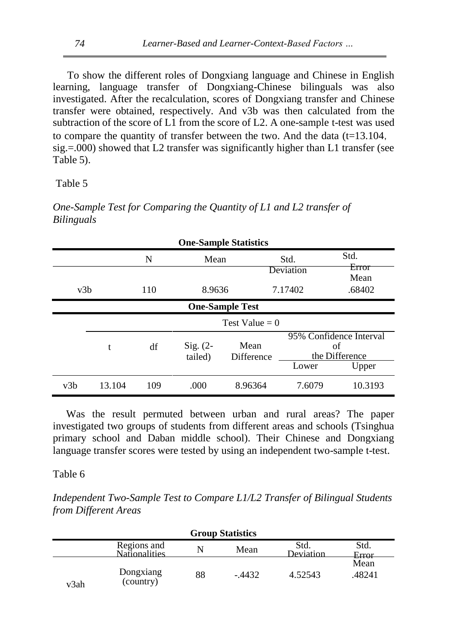To show the different roles of Dongxiang language and Chinese in English learning, language transfer of Dongxiang-Chinese bilinguals was also investigated. After the recalculation, scores of Dongxiang transfer and Chinese transfer were obtained, respectively. And v3b was then calculated from the subtraction of the score of L1 from the score of L2. A one-sample t-test was used to compare the quantity of transfer between the two. And the data  $(t=13.104,$  $sig = .000$ ) showed that L2 transfer was significantly higher than L1 transfer (see Table 5).

Table 5

*One-Sample Test for Comparing the Quantity of L1 and L2 transfer of Bilinguals*

| <b>One-Sample Statistics</b> |        |     |                       |                    |                   |                                                 |  |  |
|------------------------------|--------|-----|-----------------------|--------------------|-------------------|-------------------------------------------------|--|--|
|                              |        | N   | Mean                  |                    | Std.<br>Deviation | Std.<br>Error<br>Mean                           |  |  |
| v3b                          |        | 110 | 8.9636                |                    | 7.17402           | .68402                                          |  |  |
| <b>One-Sample Test</b>       |        |     |                       |                    |                   |                                                 |  |  |
|                              |        |     |                       | Test Value = $0$   |                   |                                                 |  |  |
|                              | t      | df  | $Sig. (2-$<br>tailed) | Mean<br>Difference |                   | 95% Confidence Interval<br>οf<br>the Difference |  |  |
|                              |        |     |                       |                    | Lower             | Upper                                           |  |  |
| v3b                          | 13.104 | 109 | .000                  | 8.96364            | 7.6079            | 10.3193                                         |  |  |

Was the result permuted between urban and rural areas? The paper investigated two groups of students from different areas and schools (Tsinghua primary school and Daban middle school). Their Chinese and Dongxiang language transfer scores were tested by using an independent two-sample t-test.

Table 6

*Independent Two-Sample Test to Compare L1/L2 Transfer of Bilingual Students from Different Areas*

| <b>Group Statistics</b> |                                     |    |          |                   |                |  |  |
|-------------------------|-------------------------------------|----|----------|-------------------|----------------|--|--|
|                         | Regions and<br><b>Nationalities</b> | N  | Mean     | Std.<br>Deviation | Std.<br>Error  |  |  |
| v3ah                    | Dongxiang<br>(country)              | 88 | $-.4432$ | 4.52543           | Mean<br>.48241 |  |  |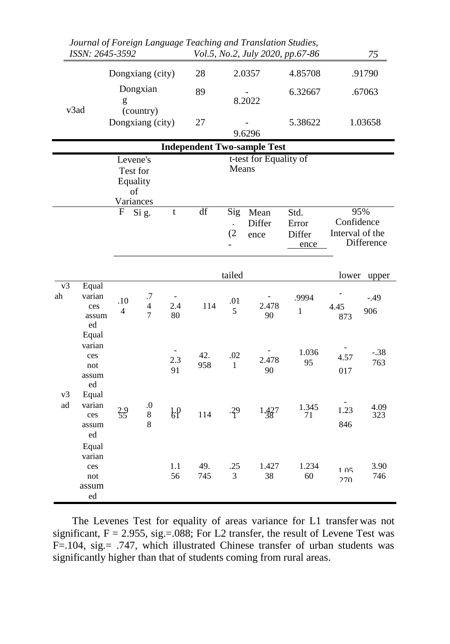|          | ISSN: 2645-3592                                                                                                              |                           |                                  |               |            |                                    | Journal of Foreign Language Teaching and Translation Studies,<br>Vol.5, No.2, July 2020, pp.67-86 |                                 |                               | 75                |
|----------|------------------------------------------------------------------------------------------------------------------------------|---------------------------|----------------------------------|---------------|------------|------------------------------------|---------------------------------------------------------------------------------------------------|---------------------------------|-------------------------------|-------------------|
|          |                                                                                                                              | Dongxiang (city)          |                                  |               | 28         |                                    | 2.0357                                                                                            | 4.85708                         |                               | .91790            |
|          |                                                                                                                              | $\mathbf{g}% _{0}$        | Dongxian                         |               | 89         |                                    | 8.2022                                                                                            | 6.32667                         |                               | .67063            |
|          | v3ad                                                                                                                         | Dongxiang (city)          | (country)                        |               | 27         |                                    | 9.6296                                                                                            | 5.38622                         |                               | 1.03658           |
|          |                                                                                                                              |                           |                                  |               |            |                                    |                                                                                                   |                                 |                               |                   |
|          | <b>Independent Two-sample Test</b><br>t-test for Equality of<br>Levene's<br>Means<br>Test for<br>Equality<br>of<br>Variances |                           |                                  |               |            |                                    |                                                                                                   |                                 |                               |                   |
|          |                                                                                                                              | $\boldsymbol{\mathrm{F}}$ | Si g.                            | t             | df         | Sig<br>$\ddot{\phantom{a}}$<br>(2) | Mean<br>Differ<br>ence                                                                            | Std.<br>Error<br>Differ<br>ence | Confidence<br>Interval of the | 95%<br>Difference |
|          |                                                                                                                              |                           |                                  |               |            | tailed                             |                                                                                                   |                                 | lower                         | upper             |
| v3<br>ah | Equal<br>varian<br>ces<br>assum<br>ed<br>Equal                                                                               | .10<br>4                  | $\cdot 7$<br>$\overline{4}$<br>7 | 2.4<br>80     | 114        | .01<br>5                           | 2.478<br>90                                                                                       | .9994<br>$\mathbf{1}$           | 4.45<br>873                   | $-.49$<br>906     |
|          | varian<br>ces<br>not<br>assum<br>ed                                                                                          |                           |                                  | 2.3<br>91     | 42.<br>958 | .02<br>$\mathbf{1}$                | 2.478<br>90                                                                                       | 1.036<br>95                     | 4.57<br>017                   | $-.38$<br>763     |
| v3<br>ad | Equal<br>varian<br>ces<br>assum<br>ed                                                                                        | $35^{9}$                  | $\boldsymbol{0}$<br>$\,8\,$<br>8 | $\frac{1}{6}$ | 114        | $-39$                              | 1.427                                                                                             | 1.345<br>71                     | 1.23<br>846                   | 4.09<br>323       |
|          | Equal<br>varian<br>ces<br>not<br>assum<br>ed                                                                                 |                           |                                  | 1.1<br>56     | 49.<br>745 | .25<br>3                           | 1.427<br>38                                                                                       | 1.234<br>60                     | 1.05<br>270                   | 3.90<br>746       |

The Levenes Test for equality of areas variance for L1 transfer was not significant,  $F = 2.955$ , sig.= $.088$ ; For L2 transfer, the result of Levene Test was F=.104, sig.= .747, which illustrated Chinese transfer of urban students was significantly higher than that of students coming from rural areas.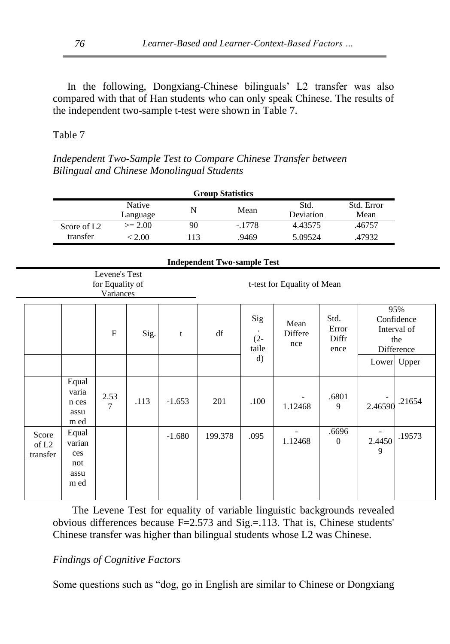In the following, Dongxiang-Chinese bilinguals' L2 transfer was also compared with that of Han students who can only speak Chinese. The results of the independent two-sample t-test were shown in Table 7.

# Table 7

*Independent Two-Sample Test to Compare Chinese Transfer between Bilingual and Chinese Monolingual Students*

| <b>Group Statistics</b>    |                                                                              |                        |                    |           |         |                        |                                     |                                |                    |                                                       |
|----------------------------|------------------------------------------------------------------------------|------------------------|--------------------|-----------|---------|------------------------|-------------------------------------|--------------------------------|--------------------|-------------------------------------------------------|
|                            |                                                                              |                        | Native<br>Language | ${\bf N}$ |         | Mean                   | Std.<br>Deviation                   |                                | Std. Error<br>Mean |                                                       |
|                            | Score of L <sub>2</sub>                                                      |                        | $>= 2.00$          | 90        |         | $-1778$                | 4.43575                             |                                | .46757             |                                                       |
|                            | transfer                                                                     |                        | < 2.00             | 113       |         | .9469                  | 5.09524                             |                                | .47932             |                                                       |
|                            | <b>Independent Two-sample Test</b>                                           |                        |                    |           |         |                        |                                     |                                |                    |                                                       |
|                            | Levene's Test<br>t-test for Equality of Mean<br>for Equality of<br>Variances |                        |                    |           |         |                        |                                     |                                |                    |                                                       |
|                            |                                                                              | F                      | Sig.               | t         | df      | Sig<br>$(2 -$<br>taile | Mean<br><b>Differe</b><br>nce       | Std.<br>Error<br>Diffr<br>ence |                    | 95%<br>Confidence<br>Interval of<br>the<br>Difference |
|                            |                                                                              |                        |                    |           |         | d)                     |                                     |                                |                    | Lower Upper                                           |
|                            | Equal<br>varia<br>n ces<br>assu<br>m ed                                      | 2.53<br>$\overline{7}$ | .113               | $-1.653$  | 201     | .100                   | 1.12468                             | .6801<br>9                     | 2.46590            | .21654                                                |
| Score<br>of L2<br>transfer | Equal<br>varian<br>ces<br>not<br>assu<br>m ed                                |                        |                    | $-1.680$  | 199.378 | .095                   | $\overline{\phantom{a}}$<br>1.12468 | .6696<br>$\theta$              | 2.4450<br>9        | .19573                                                |

The Levene Test for equality of variable linguistic backgrounds revealed obvious differences because  $F=2.573$  and  $Sig=.113$ . That is, Chinese students' Chinese transfer was higher than bilingual students whose L2 was Chinese.

# *Findings of Cognitive Factors*

Some questions such as "dog, go in English are similar to Chinese or Dongxiang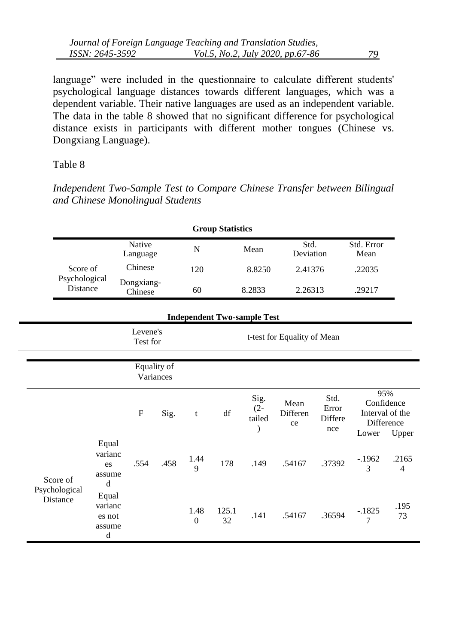language" were included in the questionnaire to calculate different students' psychological language distances towards different languages, which was a dependent variable. Their native languages are used as an independent variable. The data in the table 8 showed that no significant difference for psychological distance exists in participants with different mother tongues (Chinese vs. Dongxiang Language).

# Table 8

*Independent Two-Sample Test to Compare Chinese Transfer between Bilingual and Chinese Monolingual Students*

| <b>Group Statistics</b>          |                       |     |        |                   |                    |  |  |  |
|----------------------------------|-----------------------|-----|--------|-------------------|--------------------|--|--|--|
|                                  | Native<br>Language    | N   | Mean   | Std.<br>Deviation | Std. Error<br>Mean |  |  |  |
| Score of                         | Chinese               | 120 | 8.8250 | 2.41376           | .22035             |  |  |  |
| Psychological<br><b>Distance</b> | Dongxiang-<br>Chinese | 60  | 8.2833 | 2.26313           | .29217             |  |  |  |

|                           | <b>Independent Two-sample Test</b>        |                                                     |                          |                        |             |                          |                        |                                 |                                                             |                         |
|---------------------------|-------------------------------------------|-----------------------------------------------------|--------------------------|------------------------|-------------|--------------------------|------------------------|---------------------------------|-------------------------------------------------------------|-------------------------|
|                           |                                           | Levene's<br>t-test for Equality of Mean<br>Test for |                          |                        |             |                          |                        |                                 |                                                             |                         |
|                           |                                           |                                                     | Equality of<br>Variances |                        |             |                          |                        |                                 |                                                             |                         |
|                           |                                           | $\mathbf{F}$                                        | Sig.                     | $\mathbf t$            | df          | Sig.<br>$(2 -$<br>tailed | Mean<br>Differen<br>ce | Std.<br>Error<br>Differe<br>nce | 95%<br>Confidence<br>Interval of the<br>Difference<br>Lower | Upper                   |
| Score of                  | Equal<br>varianc<br>es<br>assume<br>d     | .554                                                | .458                     | 1.44<br>$\mathbf Q$    | 178         | .149                     | .54167                 | .37392                          | $-1962$<br>3                                                | .2165<br>$\overline{4}$ |
| Psychological<br>Distance | Equal<br>varianc<br>es not<br>assume<br>d |                                                     |                          | 1.48<br>$\overline{0}$ | 125.1<br>32 | .141                     | .54167                 | .36594                          | $-.1825$<br>$\overline{7}$                                  | .195<br>73              |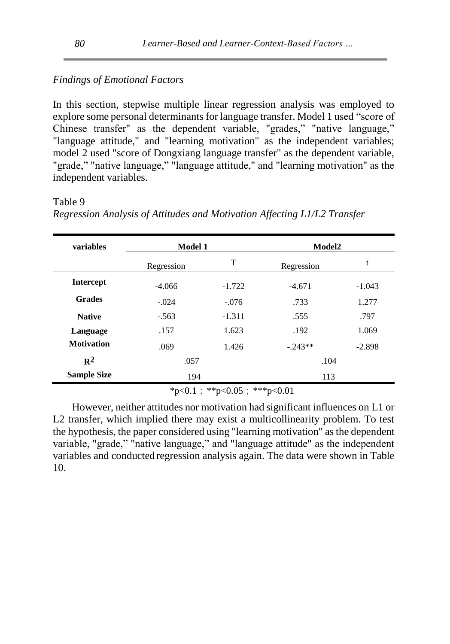# *Findings of Emotional Factors*

In this section, stepwise multiple linear regression analysis was employed to explore some personal determinants for language transfer. Model 1 used "score of Chinese transfer" as the dependent variable, "grades," "native language," "language attitude," and "learning motivation" as the independent variables; model 2 used "score of Dongxiang language transfer" as the dependent variable, "grade," "native language," "language attitude," and "learning motivation" as the independent variables.

### Table 9

| variables          | <b>Model 1</b> |          | Model2     |          |  |
|--------------------|----------------|----------|------------|----------|--|
|                    | Regression     | T        | Regression | t        |  |
| <b>Intercept</b>   | $-4.066$       | $-1.722$ | $-4.671$   | $-1.043$ |  |
| <b>Grades</b>      | $-.024$        | $-.076$  | .733       | 1.277    |  |
| <b>Native</b>      | $-.563$        | $-1.311$ | .555       | .797     |  |
| Language           | .157           | 1.623    | .192       | 1.069    |  |
| <b>Motivation</b>  | .069           | 1.426    | $-.243**$  | $-2.898$ |  |
| $\mathbb{R}^2$     | .057           |          | .104       |          |  |
| <b>Sample Size</b> | 194            |          | 113        |          |  |

*Regression Analysis of Attitudes and Motivation Affecting L1/L2 Transfer*

 $*p<0.1$ ;  $*p<0.05$ ;  $**p<0.01$ 

However, neither attitudes nor motivation had significant influences on L1 or L2 transfer, which implied there may exist a multicollinearity problem. To test the hypothesis, the paper considered using "learning motivation" as the dependent variable, "grade," "native language," and "language attitude" as the independent variables and conducted regression analysis again. The data were shown in Table 10.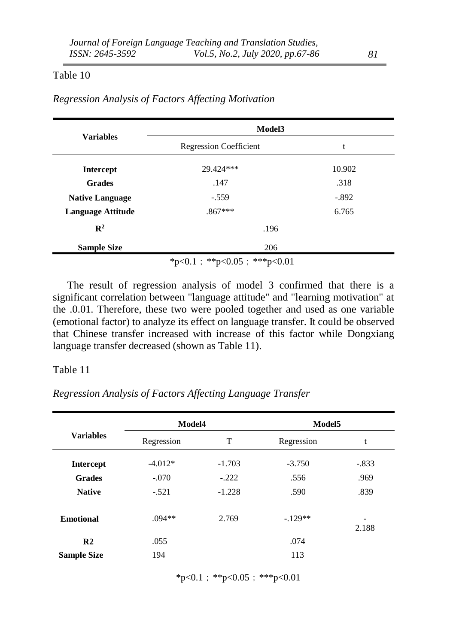### Table 10

|                          | Model3                        |         |  |  |  |
|--------------------------|-------------------------------|---------|--|--|--|
| <b>Variables</b>         | <b>Regression Coefficient</b> | t       |  |  |  |
| <b>Intercept</b>         | 29.424***                     | 10.902  |  |  |  |
| <b>Grades</b>            | .147                          | .318    |  |  |  |
| <b>Native Language</b>   | $-.559$                       | $-.892$ |  |  |  |
| <b>Language Attitude</b> | $.867***$                     | 6.765   |  |  |  |
| $\mathbb{R}^2$           | .196                          |         |  |  |  |
| <b>Sample Size</b>       | 206                           |         |  |  |  |
|                          | *p<0.1; **p<0.05; ***p<0.01   |         |  |  |  |

*Regression Analysis of Factors Affecting Motivation*

The result of regression analysis of model 3 confirmed that there is a significant correlation between "language attitude" and "learning motivation" at the .0.01. Therefore, these two were pooled together and used as one variable (emotional factor) to analyze its effect on language transfer. It could be observed that Chinese transfer increased with increase of this factor while Dongxiang language transfer decreased (shown as Table 11).

#### Table 11

*Regression Analysis of Factors Affecting Language Transfer*

| <b>Variables</b>   | Model4     |          | Model <sub>5</sub> |            |
|--------------------|------------|----------|--------------------|------------|
|                    | Regression | T        | Regression         | t          |
| <b>Intercept</b>   | $-4.012*$  | $-1.703$ | $-3.750$           | $-.833$    |
| <b>Grades</b>      | $-.070$    | $-.222$  | .556               | .969       |
| <b>Native</b>      | $-.521$    | $-1.228$ | .590               | .839       |
| <b>Emotional</b>   | $.094**$   | 2.769    | $-.129**$          | -<br>2.188 |
| R <sub>2</sub>     | .055       |          | .074               |            |
| <b>Sample Size</b> | 194        |          | 113                |            |

 $*p<0.1$ ;  $*p<0.05$ ;  $***p<0.01$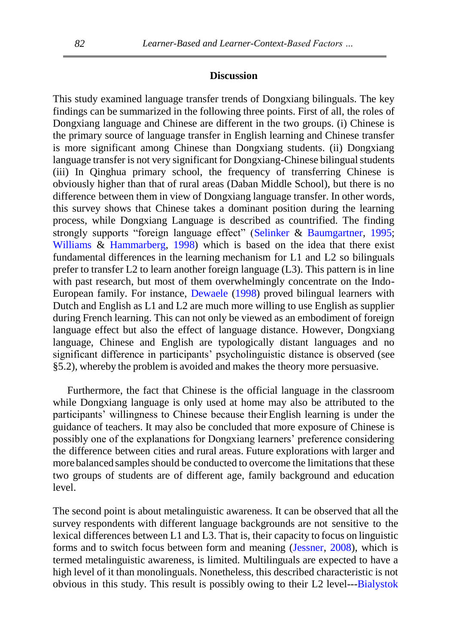#### **Discussion**

This study examined language transfer trends of Dongxiang bilinguals. The key findings can be summarized in the following three points. First of all, the roles of Dongxiang language and Chinese are different in the two groups. (i) Chinese is the primary source of language transfer in English learning and Chinese transfer is more significant among Chinese than Dongxiang students. (ii) Dongxiang language transfer is not very significant for Dongxiang-Chinese bilingual students (iii) In Qinghua primary school, the frequency of transferring Chinese is obviously higher than that of rural areas (Daban Middle School), but there is no difference between them in view of Dongxiang language transfer. In other words, this survey shows that Chinese takes a dominant position during the learning process, while Dongxiang Language is described as countrified. The finding strongly supports "foreign language effect" [\(Selinker](#page-19-6) & [Baumgartner,](#page-19-6) [1995;](#page-19-6) [Williams](#page-19-7) & [Hammarberg,](#page-19-7) [1998\)](#page-19-7) which is based on the idea that there exist fundamental differences in the learning mechanism for L1 and L2 so bilinguals prefer to transfer L2 to learn another foreign language (L3). This pattern is in line with past research, but most of them overwhelmingly concentrate on the Indo-European family. For instance, [Dewaele](#page-17-6) [\(1998\)](#page-17-6) proved bilingual learners with Dutch and English as L1 and L2 are much more willing to use English as supplier during French learning. This can not only be viewed as an embodiment of foreign language effect but also the effect of language distance. However, Dongxiang language, Chinese and English are typologically distant languages and no significant difference in participants' psycholinguistic distance is observed (see §5.2), whereby the problem is avoided and makes the theory more persuasive.

Furthermore, the fact that Chinese is the official language in the classroom while Dongxiang language is only used at home may also be attributed to the participants' willingness to Chinese because theirEnglish learning is under the guidance of teachers. It may also be concluded that more exposure of Chinese is possibly one of the explanations for Dongxiang learners' preference considering the difference between cities and rural areas. Future explorations with larger and more balanced samples should be conducted to overcome the limitations that these two groups of students are of different age, family background and education level.

The second point is about metalinguistic awareness. It can be observed that all the survey respondents with different language backgrounds are not sensitive to the lexical differences between L1 and L3. That is, their capacity to focus on linguistic forms and to switch focus between form and meaning [\(Jessner, 2008\)](#page-18-12), which is termed metalinguistic awareness, is limited. Multilinguals are expected to have a high level of it than monolinguals. Nonetheless, this described characteristic is not obvious in this study. This result is possibly owing to their L2 level--[-Bialystok](#page-17-7)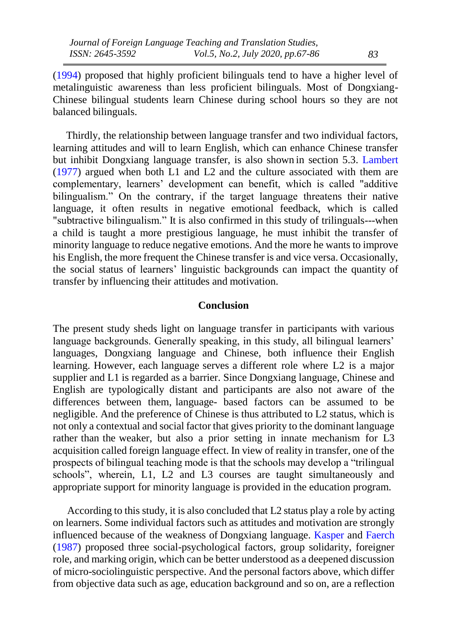[\(1994\)](#page-17-7) proposed that highly proficient bilinguals tend to have a higher level of metalinguistic awareness than less proficient bilinguals. Most of Dongxiang-Chinese bilingual students learn Chinese during school hours so they are not balanced bilinguals.

 Thirdly, the relationship between language transfer and two individual factors, learning attitudes and will to learn English, which can enhance Chinese transfer but inhibit Dongxiang language transfer, is also shown in section 5.3. [Lambert](#page-18-13) [\(1977\)](#page-18-13) argued when both L1 and L2 and the culture associated with them are complementary, learners' development can benefit, which is called "additive bilingualism." On the contrary, if the target language threatens their native language, it often results in negative emotional feedback, which is called "subtractive bilingualism." It is also confirmed in this study of trilinguals---when a child is taught a more prestigious language, he must inhibit the transfer of minority language to reduce negative emotions. And the more he wants to improve his English, the more frequent the Chinese transfer is and vice versa. Occasionally, the social status of learners' linguistic backgrounds can impact the quantity of transfer by influencing their attitudes and motivation.

### **Conclusion**

The present study sheds light on language transfer in participants with various language backgrounds. Generally speaking, in this study, all bilingual learners' languages, Dongxiang language and Chinese, both influence their English learning. However, each language serves a different role where L2 is a major supplier and L1 is regarded as a barrier. Since Dongxiang language, Chinese and English are typologically distant and participants are also not aware of the differences between them, language- based factors can be assumed to be negligible. And the preference of Chinese is thus attributed to L2 status, which is not only a contextual and social factor that gives priority to the dominant language rather than the weaker, but also a prior setting in innate mechanism for L3 acquisition called foreign language effect. In view of reality in transfer, one of the prospects of bilingual teaching mode is that the schools may develop a "trilingual schools", wherein, L1, L2 and L3 courses are taught simultaneously and appropriate support for minority language is provided in the education program.

According to this study, it is also concluded that L2 status play a role by acting on learners. Some individual factors such as attitudes and motivation are strongly influenced because of the weakness of Dongxiang language. [Kasper](#page-17-4) and [Faerch](#page-17-4) [\(1987\)](#page-17-4) proposed three social-psychological factors, group solidarity, foreigner role, and marking origin, which can be better understood as a deepened discussion of micro-sociolinguistic perspective. And the personal factors above, which differ from objective data such as age, education background and so on, are a reflection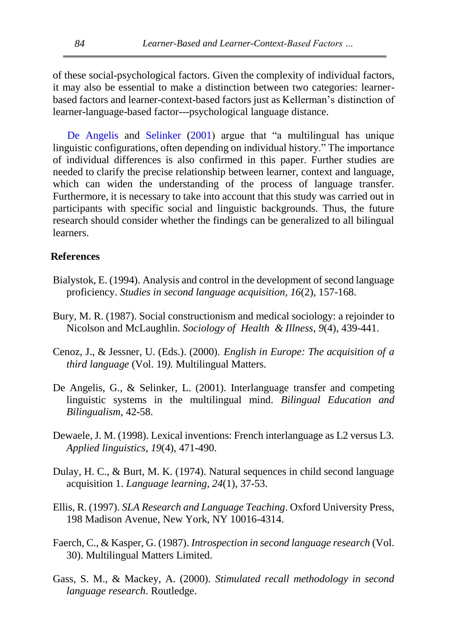of these social-psychological factors. Given the complexity of individual factors, it may also be essential to make a distinction between two categories: learnerbased factors and learner-context-based factors just as Kellerman's distinction of learner-language-based factor---psychological language distance.

[De Angelis](#page-17-8) and [Selinker](#page-17-8) [\(2001\)](#page-17-8) argue that "a multilingual has unique linguistic configurations, often depending on individual history." The importance of individual differences is also confirmed in this paper. Further studies are needed to clarify the precise relationship between learner, context and language, which can widen the understanding of the process of language transfer. Furthermore, it is necessary to take into account that this study was carried out in participants with specific social and linguistic backgrounds. Thus, the future research should consider whether the findings can be generalized to all bilingual learners.

### <span id="page-17-7"></span>**References**

- Bialystok, E. (1994). Analysis and control in the development of second language proficiency. *Studies in second language acquisition*, *16*(2), 157-168.
- <span id="page-17-3"></span>Bury, M. R. (1987). Social constructionism and medical sociology: a rejoinder to Nicolson and McLaughlin. *Sociology of Health & Illness*, *9*(4), 439-441.
- <span id="page-17-0"></span>Cenoz, J., & Jessner, U. (Eds.). (2000). *English in Europe: The acquisition of a third language* (Vol. 19*).* Multilingual Matters.
- <span id="page-17-8"></span>De Angelis, G., & Selinker, L. (2001). Interlanguage transfer and competing linguistic systems in the multilingual mind. *Bilingual Education and Bilingualism,* 42-58.
- <span id="page-17-6"></span>Dewaele, J. M. (1998). Lexical inventions: French interlanguage as L2 versus L3. *Applied linguistics*, *19*(4), 471-490.
- <span id="page-17-2"></span>Dulay, H. C., & Burt, M. K. (1974). Natural sequences in child second language acquisition 1. *Language learning*, *24*(1), 37-53.
- <span id="page-17-1"></span>Ellis, R. (1997). *SLA Research and Language Teaching*. Oxford University Press, 198 Madison Avenue, New York, NY 10016-4314.
- <span id="page-17-4"></span>Faerch, C., & Kasper, G. (1987). *Introspection in second language research* (Vol. 30). Multilingual Matters Limited.
- <span id="page-17-5"></span>Gass, S. M., & Mackey, A. (2000). *Stimulated recall methodology in second language research*. Routledge.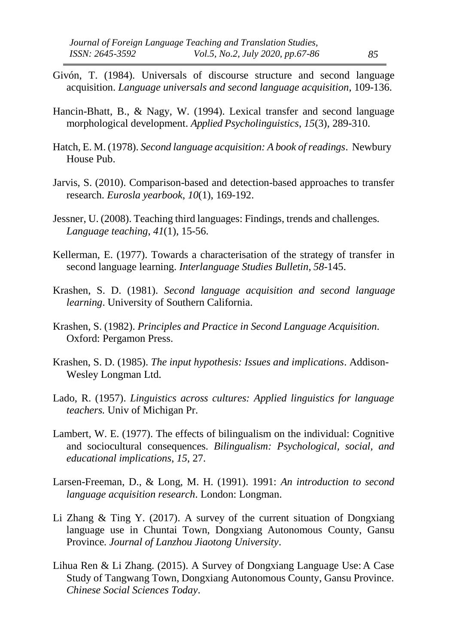- <span id="page-18-10"></span>Givón, T. (1984). Universals of discourse structure and second language acquisition. *Language universals and second language acquisition*, 109-136.
- <span id="page-18-8"></span>Hancin-Bhatt, B., & Nagy, W. (1994). Lexical transfer and second language morphological development. *Applied Psycholinguistics*, *15*(3), 289-310.
- <span id="page-18-9"></span>Hatch, E. M. (1978). *Second language acquisition: A book of readings*. Newbury House Pub.
- <span id="page-18-0"></span>Jarvis, S. (2010). Comparison-based and detection-based approaches to transfer research. *Eurosla yearbook*, *10*(1), 169-192.
- <span id="page-18-12"></span>Jessner, U. (2008). Teaching third languages: Findings, trends and challenges. *Language teaching*, *41*(1), 15-56.
- <span id="page-18-11"></span>Kellerman, E. (1977). Towards a characterisation of the strategy of transfer in second language learning. *Interlanguage Studies Bulletin*, *58*-145.
- <span id="page-18-5"></span>Krashen, S. D. (1981). *Second language acquisition and second language learning*. University of Southern California.
- <span id="page-18-7"></span>Krashen, S. (1982). *Principles and Practice in Second Language Acquisition*. Oxford: Pergamon Press.
- <span id="page-18-6"></span>Krashen, S. D. (1985). *The input hypothesis: Issues and implications*. Addison-Wesley Longman Ltd.
- <span id="page-18-3"></span>Lado, R. (1957). *Linguistics across cultures: Applied linguistics for language teachers.* Univ of Michigan Pr.
- <span id="page-18-13"></span>Lambert, W. E. (1977). The effects of bilingualism on the individual: Cognitive and sociocultural consequences. *Bilingualism: Psychological, social, and educational implications*, *15*, 27.
- <span id="page-18-4"></span>Larsen-Freeman, D., & Long, M. H. (1991). 1991: *An introduction to second language acquisition research*. London: Longman.
- <span id="page-18-2"></span>Li Zhang & Ting Y. (2017). A survey of the current situation of Dongxiang language use in Chuntai Town, Dongxiang Autonomous County, Gansu Province*. Journal of Lanzhou Jiaotong University*.
- <span id="page-18-1"></span>Lihua Ren & Li Zhang. (2015). A Survey of Dongxiang Language Use: A Case Study of Tangwang Town, Dongxiang Autonomous County, Gansu Province. *Chinese Social Sciences Today*.